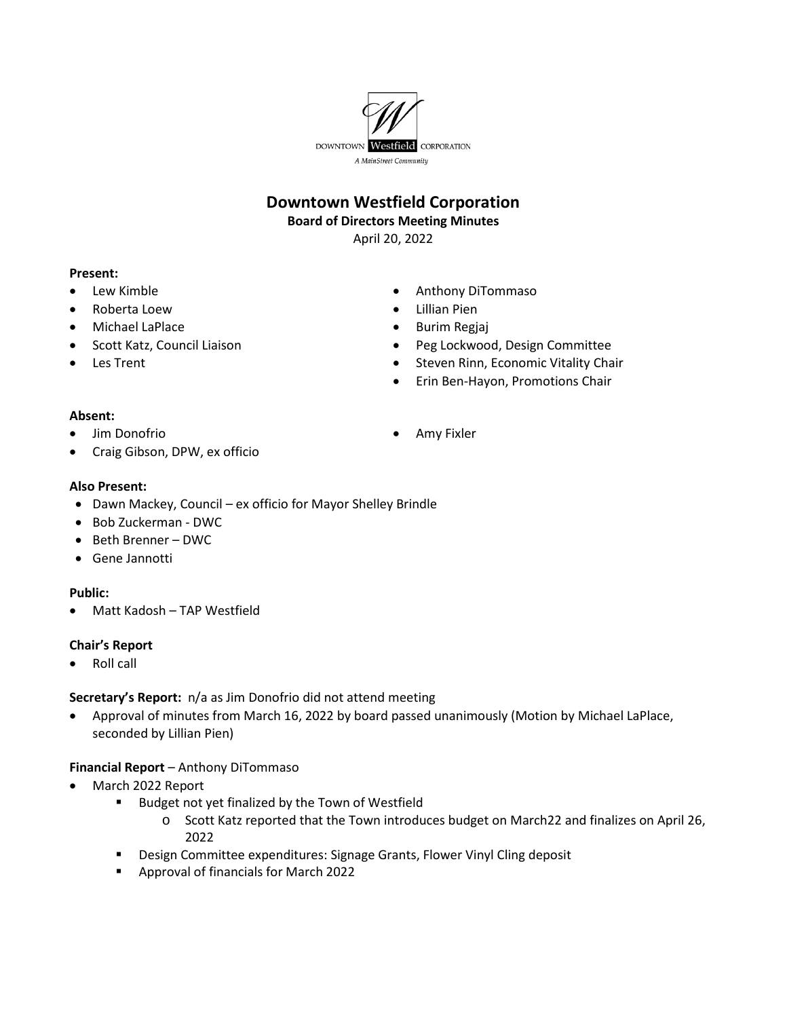

# **Downtown Westfield Corporation**

#### **Board of Directors Meeting Minutes**

April 20, 2022

### **Present:**

- Lew Kimble
- Roberta Loew
- Michael LaPlace
- Scott Katz, Council Liaison
- Les Trent
- Anthony DiTommaso
- Lillian Pien
- Burim Regjaj
- Peg Lockwood, Design Committee
- Steven Rinn, Economic Vitality Chair
- Erin Ben-Hayon, Promotions Chair

#### **Absent:**

• Jim Donofrio

• Amy Fixler

• Craig Gibson, DPW, ex officio

### **Also Present:**

- Dawn Mackey, Council ex officio for Mayor Shelley Brindle
- Bob Zuckerman DWC
- Beth Brenner DWC
- Gene Jannotti

# **Public:**

• Matt Kadosh – TAP Westfield

# **Chair's Report**

• Roll call

# **Secretary's Report:** n/a as Jim Donofrio did not attend meeting

• Approval of minutes from March 16, 2022 by board passed unanimously (Motion by Michael LaPlace, seconded by Lillian Pien)

# **Financial Report** – Anthony DiTommaso

- March 2022 Report
	- **Budget not yet finalized by the Town of Westfield** 
		- o Scott Katz reported that the Town introduces budget on March22 and finalizes on April 26, 2022
	- **Design Committee expenditures: Signage Grants, Flower Vinyl Cling deposit**
	- Approval of financials for March 2022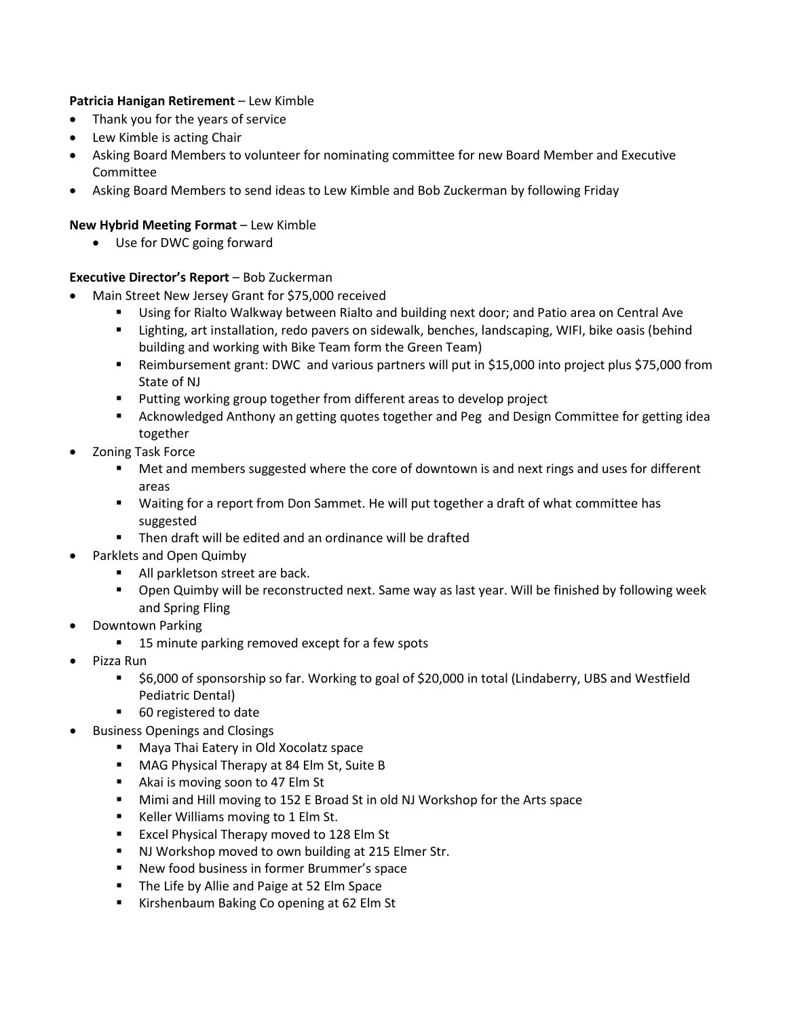# **Patricia Hanigan Retirement** – Lew Kimble

- Thank you for the years of service
- Lew Kimble is acting Chair
- Asking Board Members to volunteer for nominating committee for new Board Member and Executive Committee
- Asking Board Members to send ideas to Lew Kimble and Bob Zuckerman by following Friday

### **New Hybrid Meeting Format** – Lew Kimble

• Use for DWC going forward

### **Executive Director's Report** – Bob Zuckerman

- Main Street New Jersey Grant for \$75,000 received
	- Using for Rialto Walkway between Rialto and building next door; and Patio area on Central Ave
	- **EXTED** Lighting, art installation, redo pavers on sidewalk, benches, landscaping, WIFI, bike oasis (behind building and working with Bike Team form the Green Team)
	- Reimbursement grant: DWC and various partners will put in \$15,000 into project plus \$75,000 from State of NJ
	- Putting working group together from different areas to develop project
	- **EXED Acknowledged Anthony an getting quotes together and Peg and Design Committee for getting idea** together
- Zoning Task Force
	- **Met and members suggested where the core of downtown is and next rings and uses for different** areas
	- Waiting for a report from Don Sammet. He will put together a draft of what committee has suggested
	- **Then draft will be edited and an ordinance will be drafted**
- Parklets and Open Quimby
	- All parkletson street are back.
	- Open Quimby will be reconstructed next. Same way as last year. Will be finished by following week and Spring Fling
- Downtown Parking
	- 15 minute parking removed except for a few spots
- Pizza Run
	- \$6,000 of sponsorship so far. Working to goal of \$20,000 in total (Lindaberry, UBS and Westfield Pediatric Dental)
	- 60 registered to date
- Business Openings and Closings
	- **Maya Thai Eatery in Old Xocolatz space**
	- **MAG Physical Therapy at 84 Elm St, Suite B**
	- Akai is moving soon to 47 Elm St
	- **Mimi and Hill moving to 152 E Broad St in old NJ Workshop for the Arts space**
	- Keller Williams moving to 1 Elm St.
	- **Excel Physical Therapy moved to 128 Elm St**
	- **NJ Workshop moved to own building at 215 Elmer Str.**
	- **New food business in former Brummer's space**
	- **The Life by Allie and Paige at 52 Elm Space**
	- Kirshenbaum Baking Co opening at 62 Elm St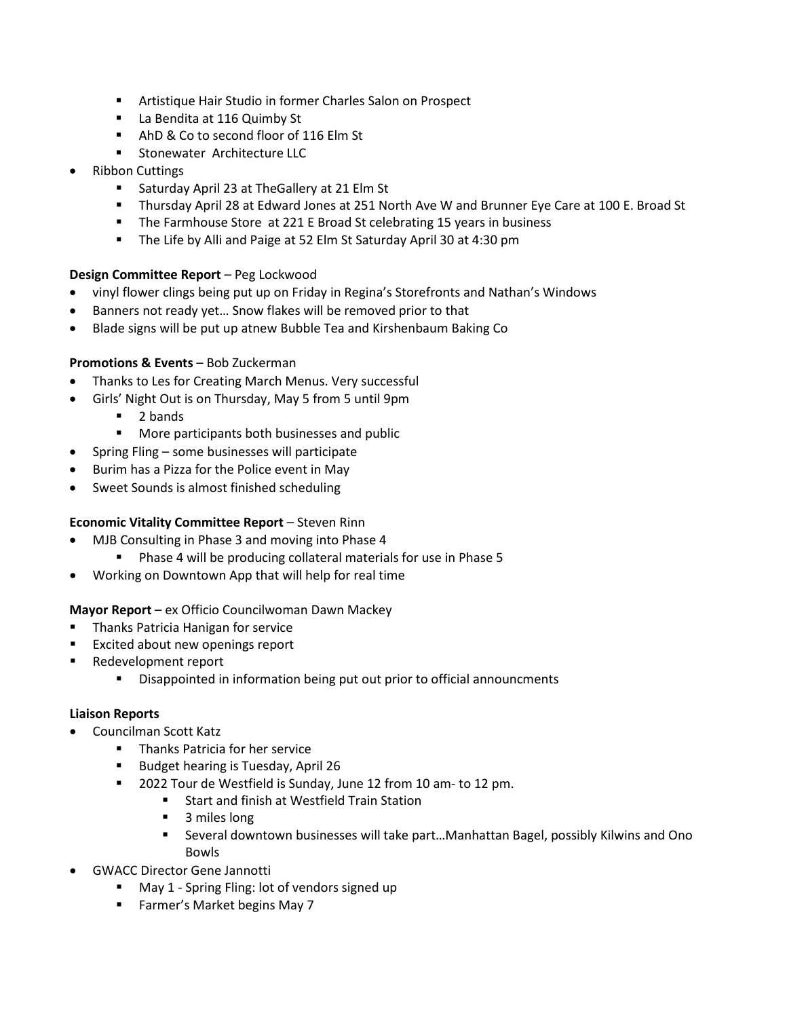- Artistique Hair Studio in former Charles Salon on Prospect
- **La Bendita at 116 Quimby St**
- AhD & Co to second floor of 116 Elm St
- **Stonewater Architecture LLC**
- Ribbon Cuttings
	- **Saturday April 23 at The Gallery at 21 Elm St**
	- Thursday April 28 at Edward Jones at 251 North Ave W and Brunner Eye Care at 100 E. Broad St
	- The Farmhouse Store at 221 E Broad St celebrating 15 years in business
	- **The Life by Alli and Paige at 52 Elm St Saturday April 30 at 4:30 pm**

### **Design Committee Report** – Peg Lockwood

- vinyl flower clings being put up on Friday in Regina's Storefronts and Nathan's Windows
- Banners not ready yet… Snow flakes will be removed prior to that
- Blade signs will be put up atnew Bubble Tea and Kirshenbaum Baking Co

### **Promotions & Events** – Bob Zuckerman

- Thanks to Les for Creating March Menus. Very successful
- Girls' Night Out is on Thursday, May 5 from 5 until 9pm
	- 2 bands
	- **More participants both businesses and public**
- Spring Fling some businesses will participate
- Burim has a Pizza for the Police event in May
- Sweet Sounds is almost finished scheduling

### **Economic Vitality Committee Report** – Steven Rinn

- MJB Consulting in Phase 3 and moving into Phase 4
	- **Phase 4 will be producing collateral materials for use in Phase 5**
- Working on Downtown App that will help for real time

### **Mayor Report** – ex Officio Councilwoman Dawn Mackey

- Thanks Patricia Hanigan for service
- Excited about new openings report
- Redevelopment report
	- **Disappointed in information being put out prior to official announcments**

### **Liaison Reports**

- Councilman Scott Katz
	- **Thanks Patricia for her service**
	- Budget hearing is Tuesday, April 26
	- **2022 Tour de Westfield is Sunday, June 12 from 10 am- to 12 pm.** 
		- **Start and finish at Westfield Train Station** 
			- 3 miles long
			- Several downtown businesses will take part…Manhattan Bagel, possibly Kilwins and Ono Bowls
- GWACC Director Gene Jannotti
	- May 1 Spring Fling: lot of vendors signed up
	- Farmer's Market begins May 7